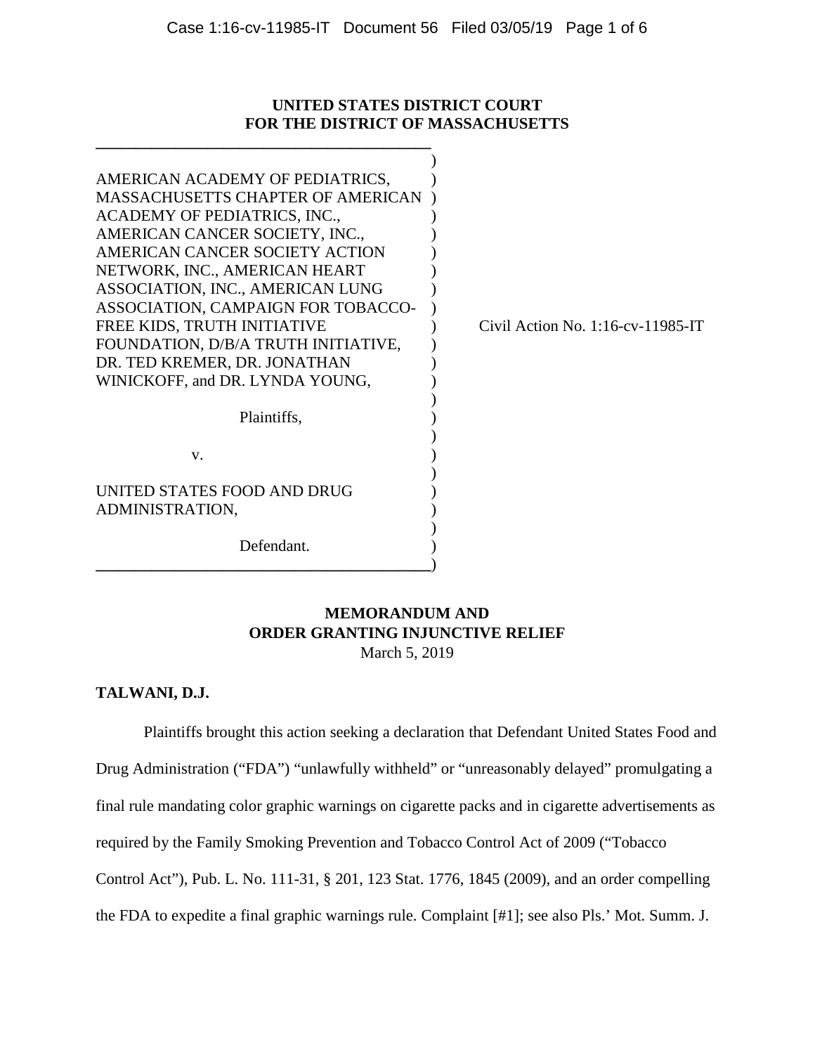### **UNITED STATES DISTRICT COURT FOR THE DISTRICT OF MASSACHUSETTS**

**\_\_\_\_\_\_\_\_\_\_\_\_\_\_\_\_\_\_\_\_\_\_\_\_\_\_\_\_\_\_\_\_\_\_\_\_\_\_\_\_\_\_**

| AMERICAN ACADEMY OF PEDIATRICS,<br><b>MASSACHUSETTS CHAPTER OF AMERICAN</b><br>ACADEMY OF PEDIATRICS, INC.,<br>AMERICAN CANCER SOCIETY, INC.,<br>AMERICAN CANCER SOCIETY ACTION<br>NETWORK, INC., AMERICAN HEART<br>ASSOCIATION, INC., AMERICAN LUNG<br>ASSOCIATION, CAMPAIGN FOR TOBACCO-<br>FREE KIDS, TRUTH INITIATIVE<br>FOUNDATION, D/B/A TRUTH INITIATIVE,<br>DR. TED KREMER, DR. JONATHAN<br>WINICKOFF, and DR. LYNDA YOUNG, | Civil Action No. $1:16$ -cv- $11985$ -IT |
|-------------------------------------------------------------------------------------------------------------------------------------------------------------------------------------------------------------------------------------------------------------------------------------------------------------------------------------------------------------------------------------------------------------------------------------|------------------------------------------|
| Plaintiffs,                                                                                                                                                                                                                                                                                                                                                                                                                         |                                          |
| V.                                                                                                                                                                                                                                                                                                                                                                                                                                  |                                          |
| UNITED STATES FOOD AND DRUG<br>ADMINISTRATION,                                                                                                                                                                                                                                                                                                                                                                                      |                                          |
| Defendant.                                                                                                                                                                                                                                                                                                                                                                                                                          |                                          |

## **MEMORANDUM AND ORDER GRANTING INJUNCTIVE RELIEF** March 5, 2019

### **TALWANI, D.J.**

Plaintiffs brought this action seeking a declaration that Defendant United States Food and Drug Administration ("FDA") "unlawfully withheld" or "unreasonably delayed" promulgating a final rule mandating color graphic warnings on cigarette packs and in cigarette advertisements as required by the Family Smoking Prevention and Tobacco Control Act of 2009 ("Tobacco Control Act"), Pub. L. No. 111-31, § 201, 123 Stat. 1776, 1845 (2009), and an order compelling the FDA to expedite a final graphic warnings rule. Complaint [#1]; see also Pls.' Mot. Summ. J.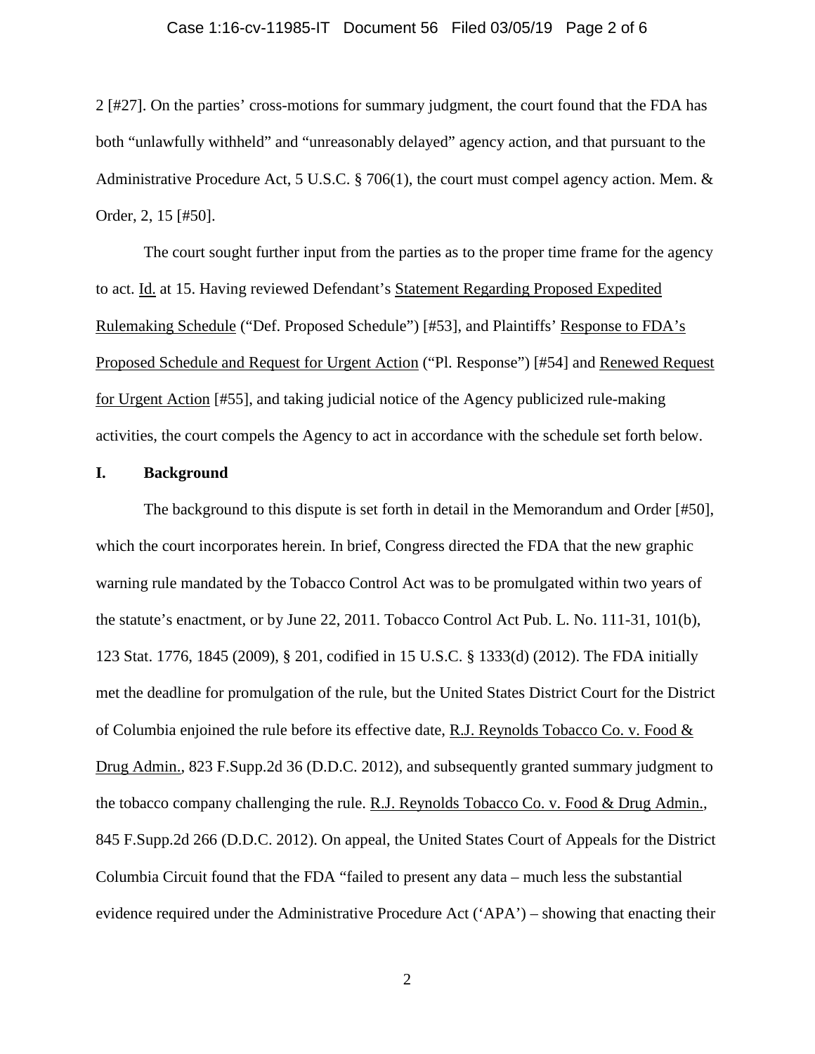#### Case 1:16-cv-11985-IT Document 56 Filed 03/05/19 Page 2 of 6

2 [#27]. On the parties' cross-motions for summary judgment, the court found that the FDA has both "unlawfully withheld" and "unreasonably delayed" agency action, and that pursuant to the Administrative Procedure Act, 5 U.S.C. § 706(1), the court must compel agency action. Mem. & Order, 2, 15 [#50].

The court sought further input from the parties as to the proper time frame for the agency to act. Id. at 15. Having reviewed Defendant's Statement Regarding Proposed Expedited Rulemaking Schedule ("Def. Proposed Schedule") [#53], and Plaintiffs' Response to FDA's Proposed Schedule and Request for Urgent Action ("Pl. Response") [#54] and Renewed Request for Urgent Action [#55], and taking judicial notice of the Agency publicized rule-making activities, the court compels the Agency to act in accordance with the schedule set forth below.

#### **I. Background**

The background to this dispute is set forth in detail in the Memorandum and Order [#50], which the court incorporates herein. In brief, Congress directed the FDA that the new graphic warning rule mandated by the Tobacco Control Act was to be promulgated within two years of the statute's enactment, or by June 22, 2011. Tobacco Control Act Pub. L. No. 111-31, 101(b), 123 Stat. 1776, 1845 (2009), § 201, codified in 15 U.S.C. § 1333(d) (2012). The FDA initially met the deadline for promulgation of the rule, but the United States District Court for the District of Columbia enjoined the rule before its effective date, R.J. Reynolds Tobacco Co. v. Food  $\&$ Drug Admin., 823 F.Supp.2d 36 (D.D.C. 2012), and subsequently granted summary judgment to the tobacco company challenging the rule. R.J. Reynolds Tobacco Co. v. Food & Drug Admin., 845 F.Supp.2d 266 (D.D.C. 2012). On appeal, the United States Court of Appeals for the District Columbia Circuit found that the FDA "failed to present any data – much less the substantial evidence required under the Administrative Procedure Act ('APA') – showing that enacting their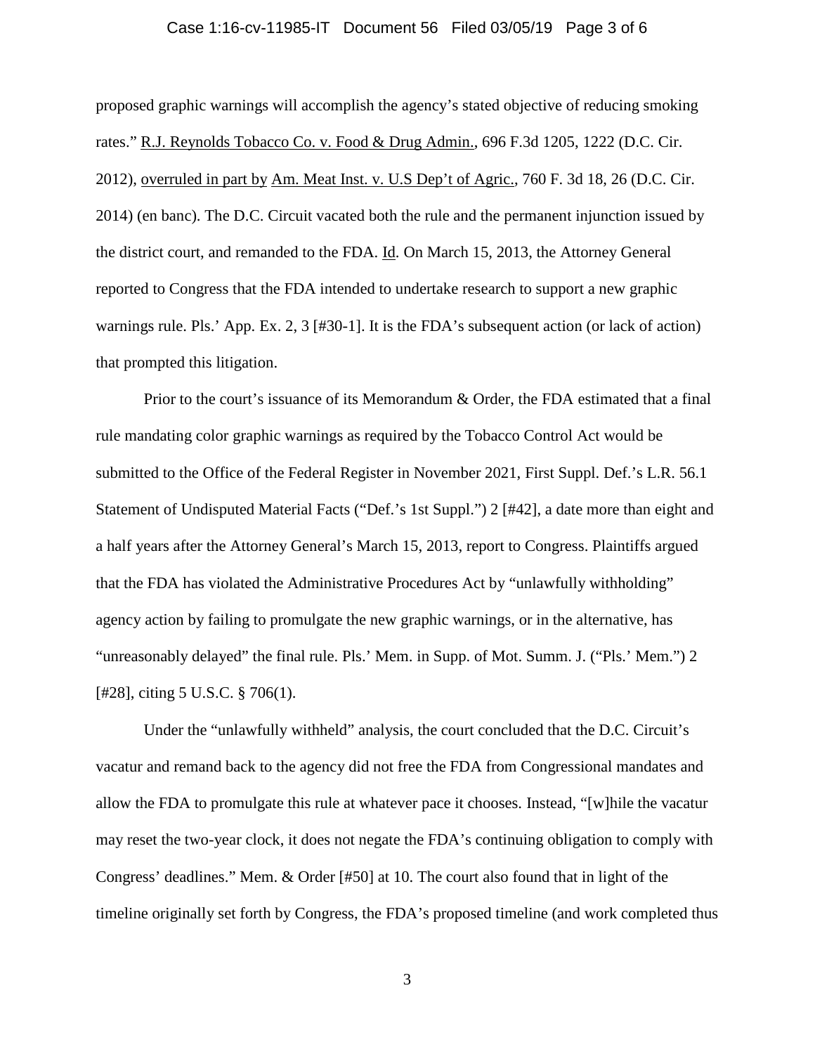#### Case 1:16-cv-11985-IT Document 56 Filed 03/05/19 Page 3 of 6

proposed graphic warnings will accomplish the agency's stated objective of reducing smoking rates." R.J. Reynolds Tobacco Co. v. Food & Drug Admin., 696 F.3d 1205, 1222 (D.C. Cir. 2012), overruled in part by Am. Meat Inst. v. U.S Dep't of Agric., 760 F. 3d 18, 26 (D.C. Cir. 2014) (en banc). The D.C. Circuit vacated both the rule and the permanent injunction issued by the district court, and remanded to the FDA. Id. On March 15, 2013, the Attorney General reported to Congress that the FDA intended to undertake research to support a new graphic warnings rule. Pls.' App. Ex. 2, 3 [#30-1]. It is the FDA's subsequent action (or lack of action) that prompted this litigation.

Prior to the court's issuance of its Memorandum & Order, the FDA estimated that a final rule mandating color graphic warnings as required by the Tobacco Control Act would be submitted to the Office of the Federal Register in November 2021, First Suppl. Def.'s L.R. 56.1 Statement of Undisputed Material Facts ("Def.'s 1st Suppl.") 2 [#42], a date more than eight and a half years after the Attorney General's March 15, 2013, report to Congress. Plaintiffs argued that the FDA has violated the Administrative Procedures Act by "unlawfully withholding" agency action by failing to promulgate the new graphic warnings, or in the alternative, has "unreasonably delayed" the final rule. Pls.' Mem. in Supp. of Mot. Summ. J. ("Pls.' Mem.") 2 [#28], citing 5 U.S.C. § 706(1).

Under the "unlawfully withheld" analysis, the court concluded that the D.C. Circuit's vacatur and remand back to the agency did not free the FDA from Congressional mandates and allow the FDA to promulgate this rule at whatever pace it chooses. Instead, "[w]hile the vacatur may reset the two-year clock, it does not negate the FDA's continuing obligation to comply with Congress' deadlines." Mem. & Order [#50] at 10. The court also found that in light of the timeline originally set forth by Congress, the FDA's proposed timeline (and work completed thus

3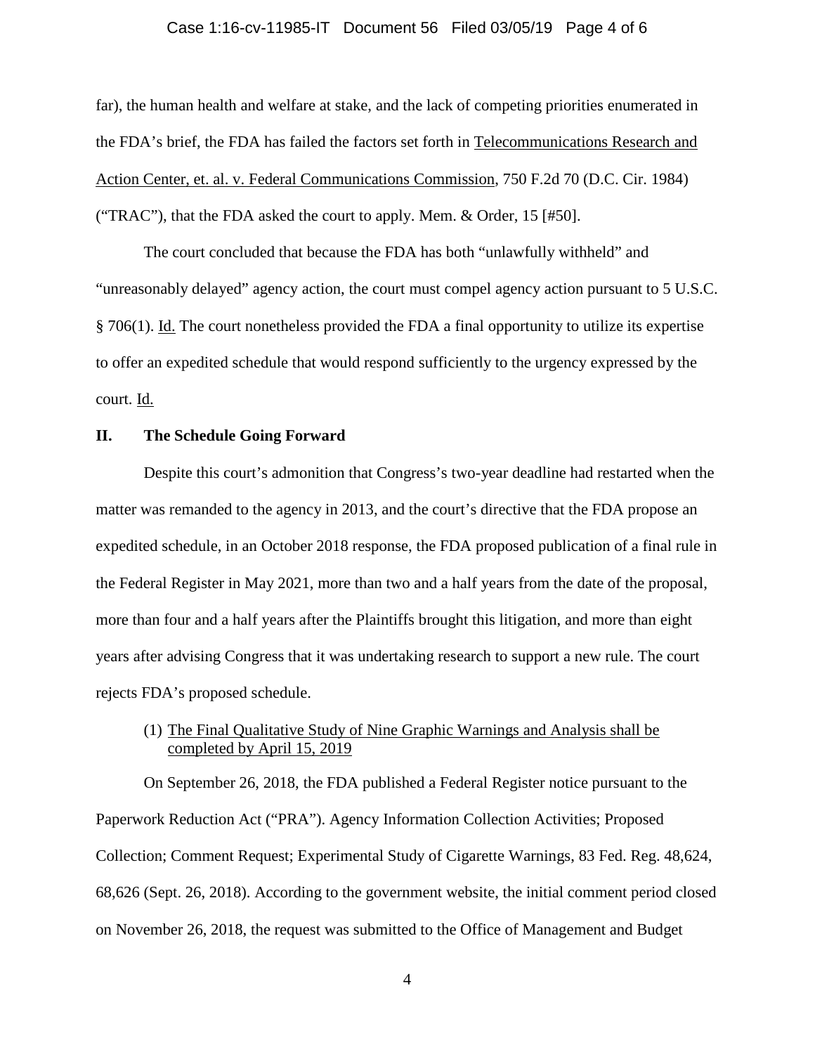#### Case 1:16-cv-11985-IT Document 56 Filed 03/05/19 Page 4 of 6

far), the human health and welfare at stake, and the lack of competing priorities enumerated in the FDA's brief, the FDA has failed the factors set forth in Telecommunications Research and Action Center, et. al. v. Federal Communications Commission, 750 F.2d 70 (D.C. Cir. 1984) ("TRAC"), that the FDA asked the court to apply. Mem. & Order, 15 [#50].

The court concluded that because the FDA has both "unlawfully withheld" and "unreasonably delayed" agency action, the court must compel agency action pursuant to 5 U.S.C. § 706(1). Id. The court nonetheless provided the FDA a final opportunity to utilize its expertise to offer an expedited schedule that would respond sufficiently to the urgency expressed by the court. Id.

#### **II. The Schedule Going Forward**

Despite this court's admonition that Congress's two-year deadline had restarted when the matter was remanded to the agency in 2013, and the court's directive that the FDA propose an expedited schedule, in an October 2018 response, the FDA proposed publication of a final rule in the Federal Register in May 2021, more than two and a half years from the date of the proposal, more than four and a half years after the Plaintiffs brought this litigation, and more than eight years after advising Congress that it was undertaking research to support a new rule. The court rejects FDA's proposed schedule.

## (1) The Final Qualitative Study of Nine Graphic Warnings and Analysis shall be completed by April 15, 2019

On September 26, 2018, the FDA published a Federal Register notice pursuant to the Paperwork Reduction Act ("PRA"). Agency Information Collection Activities; Proposed Collection; Comment Request; Experimental Study of Cigarette Warnings, 83 Fed. Reg. 48,624, 68,626 (Sept. 26, 2018). According to the government website, the initial comment period closed on November 26, 2018, the request was submitted to the Office of Management and Budget

4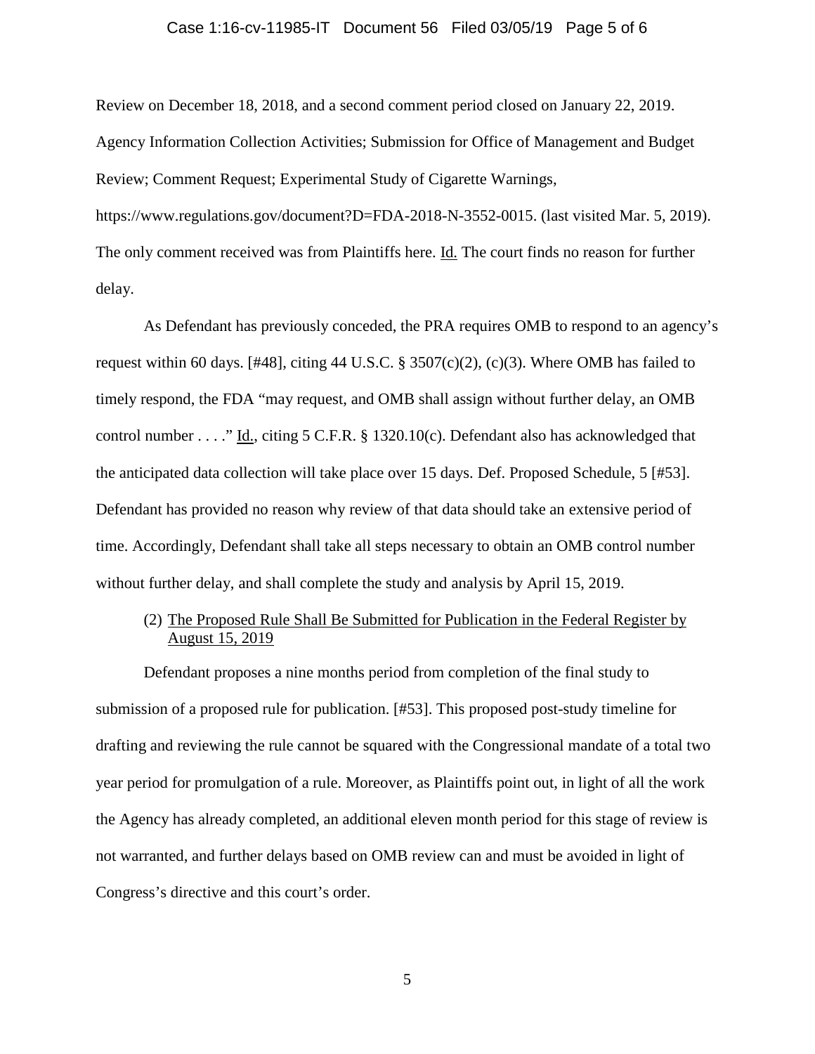#### Case 1:16-cv-11985-IT Document 56 Filed 03/05/19 Page 5 of 6

Review on December 18, 2018, and a second comment period closed on January 22, 2019. Agency Information Collection Activities; Submission for Office of Management and Budget Review; Comment Request; Experimental Study of Cigarette Warnings,

https://www.regulations.gov/document?D=FDA-2018-N-3552-0015. (last visited Mar. 5, 2019). The only comment received was from Plaintiffs here. Id. The court finds no reason for further delay.

As Defendant has previously conceded, the PRA requires OMB to respond to an agency's request within 60 days. [#48], citing 44 U.S.C. § 3507(c)(2), (c)(3). Where OMB has failed to timely respond, the FDA "may request, and OMB shall assign without further delay, an OMB control number . . . ." Id., citing 5 C.F.R. § 1320.10(c). Defendant also has acknowledged that the anticipated data collection will take place over 15 days. Def. Proposed Schedule, 5 [#53]. Defendant has provided no reason why review of that data should take an extensive period of time. Accordingly, Defendant shall take all steps necessary to obtain an OMB control number without further delay, and shall complete the study and analysis by April 15, 2019.

## (2) The Proposed Rule Shall Be Submitted for Publication in the Federal Register by August 15, 2019

Defendant proposes a nine months period from completion of the final study to submission of a proposed rule for publication. [#53]. This proposed post-study timeline for drafting and reviewing the rule cannot be squared with the Congressional mandate of a total two year period for promulgation of a rule. Moreover, as Plaintiffs point out, in light of all the work the Agency has already completed, an additional eleven month period for this stage of review is not warranted, and further delays based on OMB review can and must be avoided in light of Congress's directive and this court's order.

5